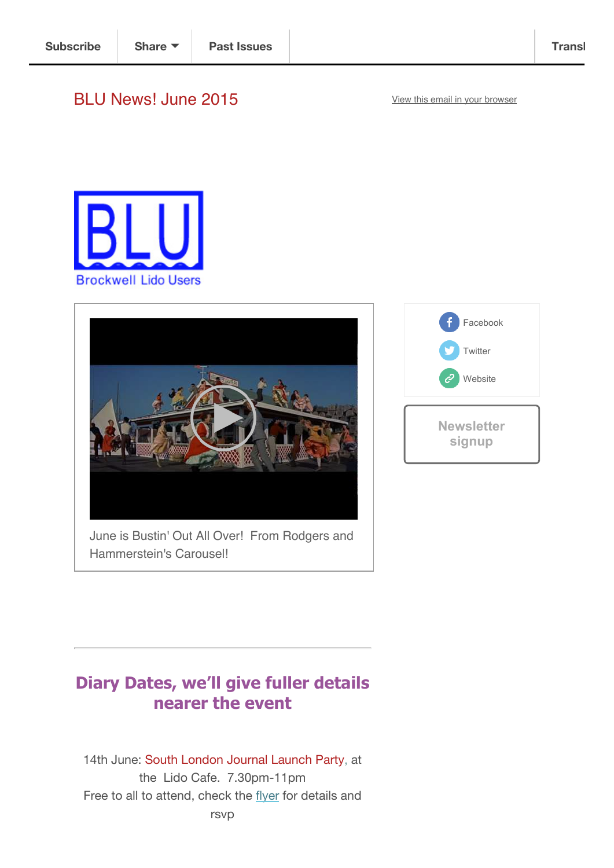# BLU News! June 2015 View this email in your browser





June is Bustin' Out All Over! From Rodgers and Hammerstein's Carousel!



# **Diary Dates, we'll give fuller details nearer the event**

14th June: South London Journal Launch Party, at the Lido Cafe. 7.30pm-11pm Free to all to attend, check the flyer for details and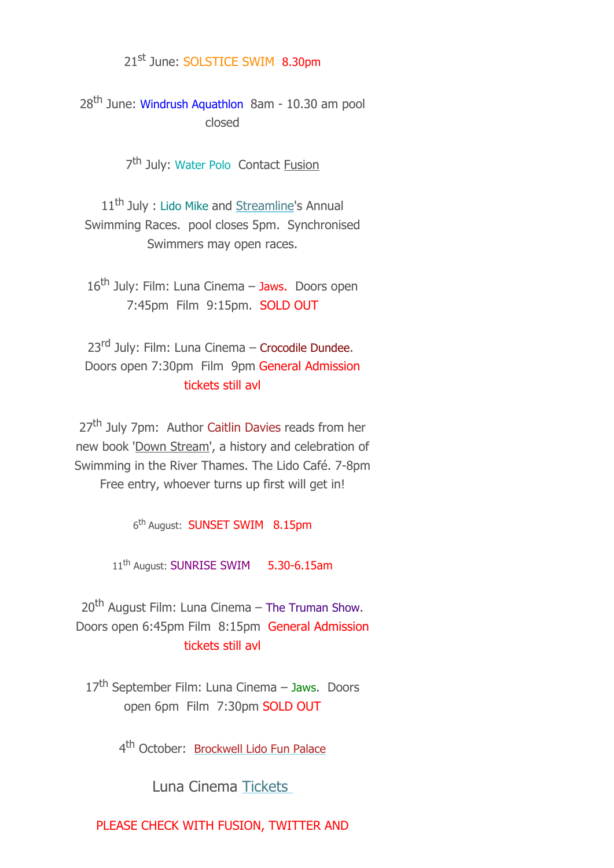## 21st June: SOLSTICE SWIM 8.30pm

28<sup>th</sup> June: Windrush Aquathlon 8am - 10.30 am pool closed

7<sup>th</sup> July: Water Polo Contact Fusion

11<sup>th</sup> July : Lido Mike and Streamline's Annual Swimming Races. pool closes 5pm. Synchronised Swimmers may open races.

16<sup>th</sup> July: Film: Luna Cinema - Jaws. Doors open 7:45pm Film 9:15pm. SOLD OUT

23<sup>rd</sup> July: Film: Luna Cinema - Crocodile Dundee. Doors open 7:30pm Film 9pm General Admission tickets still avl

27<sup>th</sup> July 7pm: Author Caitlin Davies reads from her new book 'Down Stream', a history and celebration of Swimming in the River Thames. The Lido Café. 7-8pm Free entry, whoever turns up first will get in!

6th August: SUNSET SWIM 8.15pm

11<sup>th</sup> August: SUNRISE SWIM 5.30-6.15am

20<sup>th</sup> August Film: Luna Cinema - The Truman Show. Doors open 6:45pm Film 8:15pm General Admission tickets still avl

17<sup>th</sup> September Film: Luna Cinema – Jaws. Doors open 6pm Film 7:30pm SOLD OUT

4<sup>th</sup> October: Brockwell Lido Fun Palace

Luna Cinema Tickets

PLEASE CHECK WITH FUSION, TWITTER AND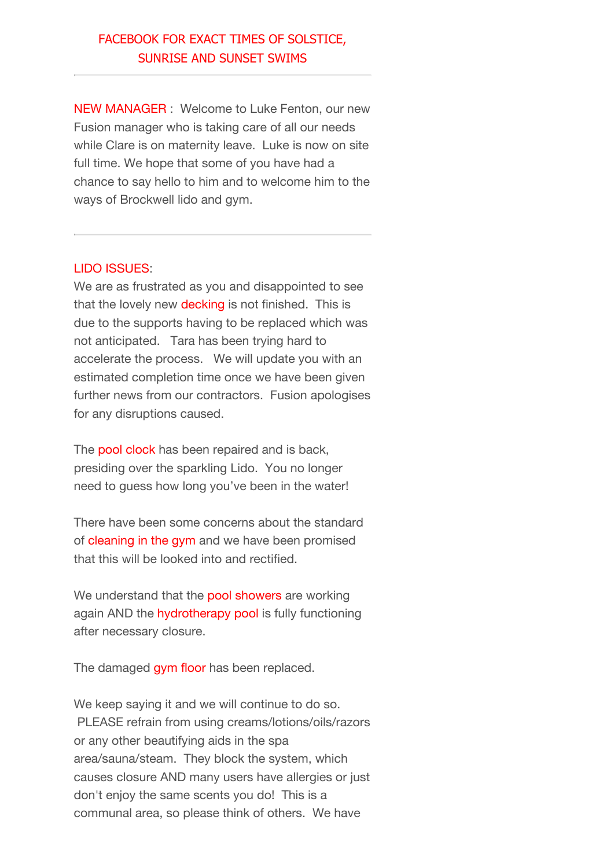## FACEBOOK FOR EXACT TIMES OF SOLSTICE, SUNRISE AND SUNSET SWIMS

NEW MANAGER : Welcome to Luke Fenton, our new Fusion manager who is taking care of all our needs while Clare is on maternity leave. Luke is now on site full time. We hope that some of you have had a chance to say hello to him and to welcome him to the ways of Brockwell lido and gym.

#### LIDO ISSUES:

We are as frustrated as you and disappointed to see that the lovely new **decking** is not finished. This is due to the supports having to be replaced which was not anticipated. Tara has been trying hard to accelerate the process. We will update you with an estimated completion time once we have been given further news from our contractors. Fusion apologises for any disruptions caused.

The **pool clock** has been repaired and is back, presiding over the sparkling Lido. You no longer need to guess how long you've been in the water!

There have been some concerns about the standard of cleaning in the gym and we have been promised that this will be looked into and rectified.

We understand that the pool showers are working again AND the hydrotherapy pool is fully functioning after necessary closure.

The damaged gym floor has been replaced.

We keep saying it and we will continue to do so. PLEASE refrain from using creams/lotions/oils/razors or any other beautifying aids in the spa area/sauna/steam. They block the system, which causes closure AND many users have allergies or just don't enjoy the same scents you do! This is a communal area, so please think of others. We have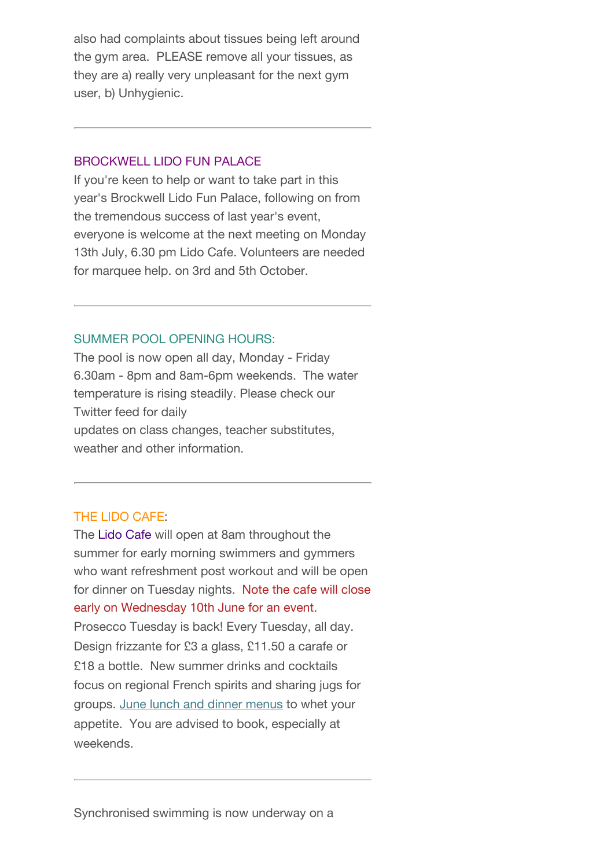also had complaints about tissues being left around the gym area. PLEASE remove all your tissues, as they are a) really very unpleasant for the next gym user, b) Unhygienic.

#### BROCKWELL LIDO FUN PALACE

If you're keen to help or want to take part in this year's Brockwell Lido Fun Palace, following on from the tremendous success of last year's event, everyone is welcome at the next meeting on Monday 13th July, 6.30 pm Lido Cafe. Volunteers are needed for marquee help. on 3rd and 5th October.

### SUMMER POOL OPENING HOURS:

The pool is now open all day, Monday - Friday 6.30am - 8pm and 8am-6pm weekends. The water temperature is rising steadily. Please check our Twitter feed for daily updates on class changes, teacher substitutes, weather and other information.

### THE LIDO CAFE:

The Lido Cafe will open at 8am throughout the summer for early morning swimmers and gymmers who want refreshment post workout and will be open for dinner on Tuesday nights. Note the cafe will close early on Wednesday 10th June for an event. Prosecco Tuesday is back! Every Tuesday, all day. Design frizzante for £3 a glass, £11.50 a carafe or £18 a bottle. New summer drinks and cocktails focus on regional French spirits and sharing jugs for groups. June lunch and dinner menus to whet your appetite. You are advised to book, especially at weekends.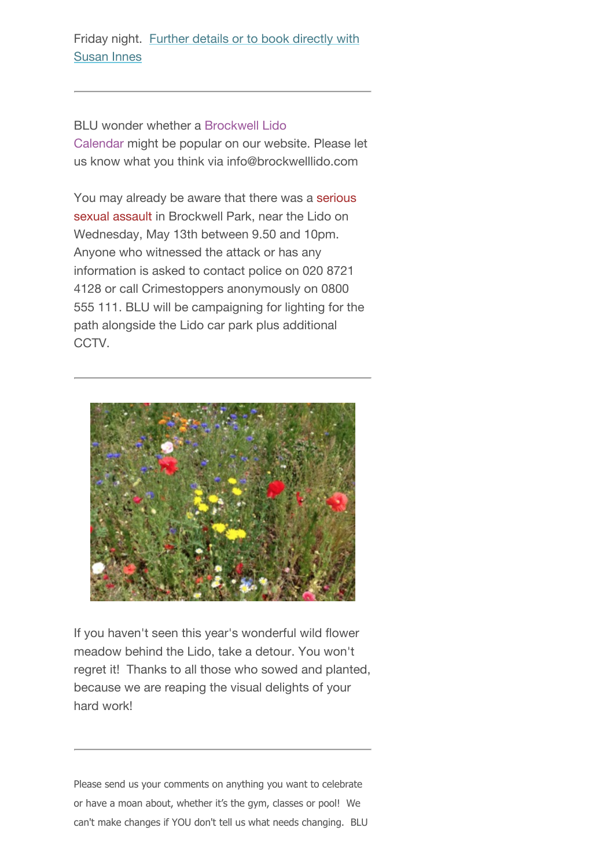BLU wonder whether a Brockwell Lido Calendar might be popular on our website. Please let us know what you think via info@brockwelllido.com

You may already be aware that there was a serious sexual assault in Brockwell Park, near the Lido on Wednesday, May 13th between 9.50 and 10pm. Anyone who witnessed the attack or has any information is asked to contact police on 020 8721 4128 or call Crimestoppers anonymously on 0800 555 111. BLU will be campaigning for lighting for the path alongside the Lido car park plus additional CCTV.



If you haven't seen this year's wonderful wild flower meadow behind the Lido, take a detour. You won't regret it! Thanks to all those who sowed and planted, because we are reaping the visual delights of your hard work!

Please send us your comments on anything you want to celebrate or have a moan about, whether it's the gym, classes or pool! We can't make changes if YOU don't tell us what needs changing. BLU